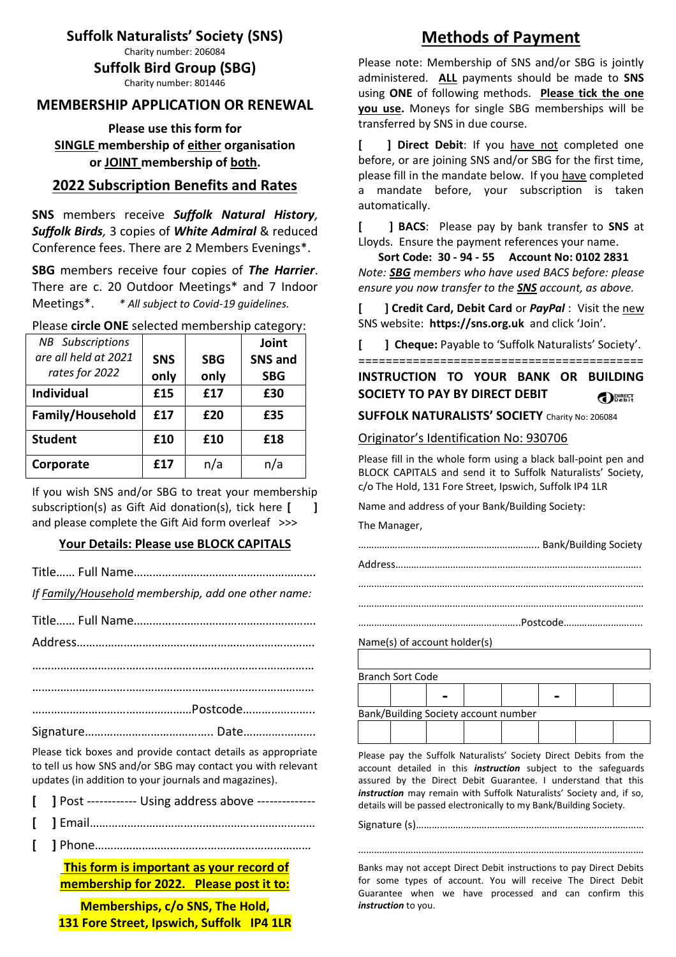**Suffolk Naturalists' Society (SNS)** 

Charity number: 206084

**Suffolk Bird Group (SBG)**

Charity number: 801446

#### **MEMBERSHIP APPLICATION OR RENEWAL**

**Please use this form for SINGLE membership of either organisation or JOINT membership of both.** 

#### **2022 Subscription Benefits and Rates**

**SNS** members receive *Suffolk Natural History, Suffolk Birds,* 3 copies of *White Admiral* & reduced Conference fees. There are 2 Members Evenings\*.

**SBG** members receive four copies of *The Harrier*. There are c. 20 Outdoor Meetings\* and 7 Indoor Meetings\*. *\* All subject to Covid-19 guidelines.*

| $\frac{1}{2}$ . The state of the selected internate simplest called the |            |            |                |
|-------------------------------------------------------------------------|------------|------------|----------------|
| <b>NB</b> Subscriptions                                                 |            |            | Joint          |
| are all held at 2021                                                    | <b>SNS</b> | <b>SBG</b> | <b>SNS and</b> |
| rates for 2022                                                          | only       | only       | <b>SBG</b>     |
| <b>Individual</b>                                                       | £15        | £17        | £30            |
| Family/Household                                                        | £17        | £20        | £35            |
| <b>Student</b>                                                          | £10        | £10        | £18            |
| Corporate                                                               | £17        | n/a        | n/a            |

Please **circle ONE** selected membership category:

If you wish SNS and/or SBG to treat your membership subscription(s) as Gift Aid donation(s), tick here [ <sup>1</sup> and please complete the Gift Aid form overleaf >>>

#### **Your Details: Please use BLOCK CAPITALS**

Title…… Full Name………………………………………………….

*If Family/Household membership, add one other name:* 

Please tick boxes and provide contact details as appropriate to tell us how SNS and/or SBG may contact you with relevant updates (in addition to your journals and magazines).

| [ ] Post ----------- Using address above -------------- |  |  |
|---------------------------------------------------------|--|--|
|                                                         |  |  |

- **[ ]** Email………………………………………………………………
	- **[ ]** Phone……………………………………………………………

 **This form is important as your record of membership for 2022. Please post it to:** 

**Memberships, c/o SNS, The Hold, 131 Fore Street, Ipswich, Suffolk IP4 1LR** 

# **Methods of Payment**

Please note: Membership of SNS and/or SBG is jointly administered. **ALL** payments should be made to **SNS**  using **ONE** of following methods. **Please tick the one you use.** Moneys for single SBG memberships will be transferred by SNS in due course.

**[ ] Direct Debit**: If you have not completed one before, or are joining SNS and/or SBG for the first time, please fill in the mandate below. If you have completed a mandate before, your subscription is taken automatically.

**[ ] BACS**: Please pay by bank transfer to **SNS** at Lloyds. Ensure the payment references your name.

 **Sort Code: 30 - 94 - 55 Account No: 0102 2831**  *Note: SBG members who have used BACS before: please ensure you now transfer to the SNS account, as above.* 

**[ ] Credit Card, Debit Card** or *PayPal* : Visit the new SNS website: **https://sns.org.uk** and click 'Join'.

**[ ] Cheque:** Payable to 'Suffolk Naturalists' Society'.

==========================================

**INSTRUCTION TO YOUR BANK OR BUILDING SOCIETY TO PAY BY DIRECT DEBIT**  DERECT

**SUFFOLK NATURALISTS' SOCIETY** Charity No: 206084

#### Originator's Identification No: 930706

Please fill in the whole form using a black ball-point pen and BLOCK CAPITALS and send it to Suffolk Naturalists' Society, c/o The Hold, 131 Fore Street, Ipswich, Suffolk IP4 1LR

Name and address of your Bank/Building Society:

The Manager,

…………………………………………………………………………………………….… ………………………………………………………………………………………….……

……………………………………………………..Postcode………………….……..

Name(s) of account holder(s)

| <b>Branch Sort Code</b> |                                      |  |  |  |
|-------------------------|--------------------------------------|--|--|--|
|                         |                                      |  |  |  |
|                         | Bank/Building Society account number |  |  |  |
|                         |                                      |  |  |  |

Please pay the Suffolk Naturalists' Society Direct Debits from the account detailed in this *instruction* subject to the safeguards assured by the Direct Debit Guarantee. I understand that this *instruction* may remain with Suffolk Naturalists' Society and, if so, details will be passed electronically to my Bank/Building Society.

Signature (s)……………………………………………………………………………

Banks may not accept Direct Debit instructions to pay Direct Debits for some types of account. You will receive The Direct Debit Guarantee when we have processed and can confirm this *instruction* to you.

…………………………………………………………………………………………….…